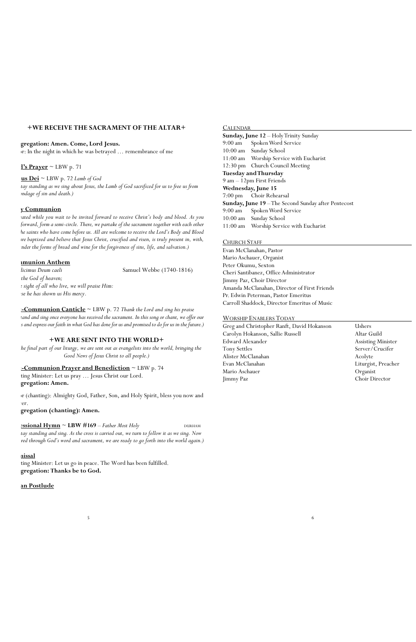# **+WE RECEIVE THE SACRAMENT OF THE ALTAR+**

#### **Congregation: Amen. Come, Lord Jesus.**

pr: In the night in which he was betrayed ... remembrance of me

# $**l**'s Prayer  $\sim$  LBW p. 71$ </u>

 $\underline{\mathbf{u}}$ **s**  $\underline{\mathbf{D}}$ **ei**  $\sim$  LBW p. 72 *Lamb of God* 

tay standing as we sing about Jesus, the Lamb of God sacrificed for us to free us from *the bondage of sin and death.)* 

### **y** Communion

*(Be seated while you wait to be invited forward to receive Christ's body and blood. As you* forward, form a semi-circle. There, we partake of the sacrament together with each other *and the saints who have come before us. All are welcome to receive the Lord's Body and Blood who are baptized and believe that Jesus Christ, crucified and risen, is truly present in, with, and under the forms of bread and wine for the forgiveness of sins, life, and salvation.)*

*Benedicimus Deum caeli* Samuel Webbe (1740-1816) the God of heaven; *in the sight of all who live, we will praise Him: because he has shown us His mercy.*

**Post-Communion Canticle** ~ LBW p. 72 *Thank the Lord and sing his praise* tand and sing once everyone has received the sacrament. In this song or chant, we offer our *t* and express our faith in what God has done for us and promised to do for us in the future.)

ting Minister: Let us pray ... Jesus Christ our Lord. **Congregation: Amen.**

or (chanting): Almighty God, Father, Son, and Holy Spirit, bless you now and rer.

## **Communion Anthem**

ting Minister: Let us go in peace. The Word has been fulfilled. **Congregation: Thanks be to God.**

### **CALENDAR**

## **+WE ARE SENT INTO THE WORLD+**

*(In the final part of our liturgy, we are sent out as evangelists into the world, bringing the Good News of Jesus Christ to all people.)*

### **Post-Communion Prayer and Benediction** ~ LBW p. 74

**Congregation (chanting): Amen.** 

**<u>Essional Hymn</u> ~ LBW #169 –** *Father Most Holy* **DURHAM** tay standing and sing. As the cross is carried out, we turn to follow it as we sing. Now red through God's word and sacrament, we are ready to go forth into the world again.)

 $\frac{1}{5}$  6

#### **Dismissal**

#### **Organ Postlude**

**Sunday, June 12** – Holy Trinity Sunday 9:00 am Spoken Word Service 10:00 am Sunday School 11:00 am Worship Service with Eucharist 12:30 pm Church Council Meeting **Tuesday and Thursday** 9 am – 12pm First Friends **Wednesday, June 15** 7:00 pm Choir Rehearsal **Sunday, June 19** –The Second Sunday after Pentecost 9:00 am Spoken Word Service 10:00 am Sunday School 11:00 am Worship Service with Eucharist

#### CHURCH STAFF

Evan McClanahan, Pastor Mario Aschauer, Organist Peter Okumu, Sexton Cheri Santibanez, Office Administrator Jimmy Paz, Choir Director Amanda McClanahan, Director of First Friends Pr. Edwin Peterman, Pastor Emeritus Carroll Shaddock, Director Emeritus of Music

### WORSHIP ENABLERS TODAY

Greg and Christopher Ranft, David Hokanson Ushers Carolyn Hokanson, Sallie Russell Altar Guild Edward Alexander Assisting Minister Tony Settles Server/Crucifer Alister McClanahan Acolyte Evan McClanahan Liturgist, Preacher Mario Aschauer Organist Jimmy Paz Choir Director